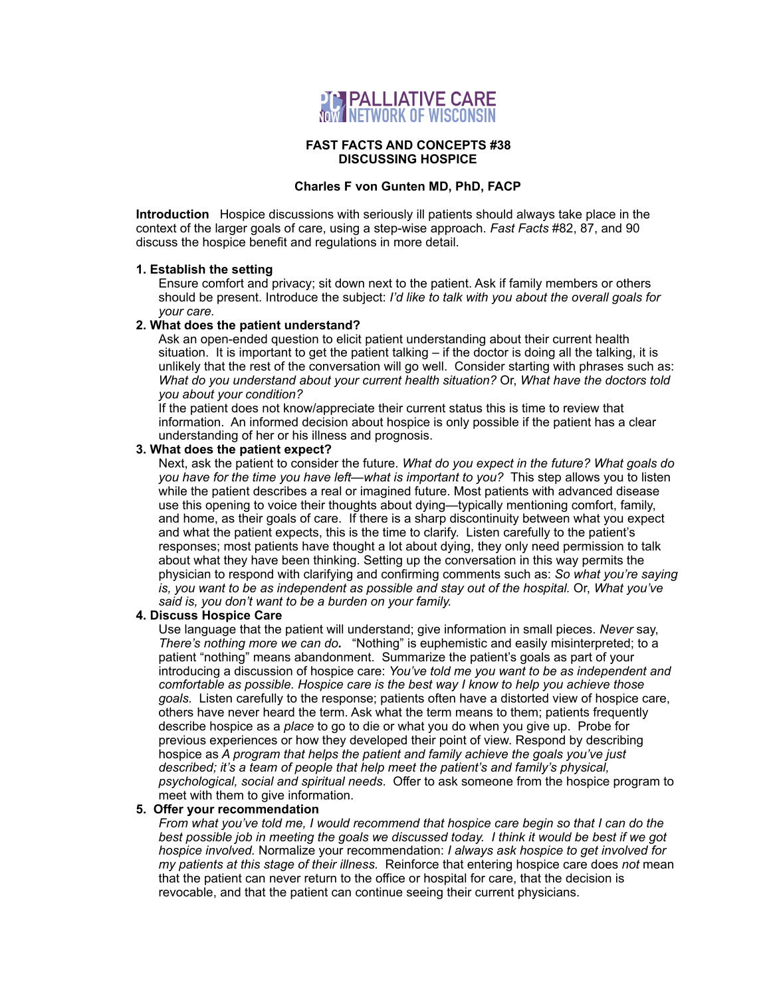

## **FAST FACTS AND CONCEPTS #38 DISCUSSING HOSPICE**

# **Charles F von Gunten MD, PhD, FACP**

**Introduction** Hospice discussions with seriously ill patients should always take place in the context of the larger goals of care, using a step-wise approach. *Fast Facts* #82, 87, and 90 discuss the hospice benefit and regulations in more detail.

## **1. Establish the setting**

Ensure comfort and privacy; sit down next to the patient. Ask if family members or others should be present. Introduce the subject: *I'd like to talk with you about the overall goals for your care.* 

#### **2. What does the patient understand?**

Ask an open-ended question to elicit patient understanding about their current health situation. It is important to get the patient talking – if the doctor is doing all the talking, it is unlikely that the rest of the conversation will go well. Consider starting with phrases such as: *What do you understand about your current health situation?* Or, *What have the doctors told you about your condition?* 

If the patient does not know/appreciate their current status this is time to review that information. An informed decision about hospice is only possible if the patient has a clear understanding of her or his illness and prognosis.

# **3. What does the patient expect?**

Next, ask the patient to consider the future. *What do you expect in the future? What goals do you have for the time you have left—what is important to you?* This step allows you to listen while the patient describes a real or imagined future. Most patients with advanced disease use this opening to voice their thoughts about dying—typically mentioning comfort, family, and home, as their goals of care. If there is a sharp discontinuity between what you expect and what the patient expects, this is the time to clarify. Listen carefully to the patient's responses; most patients have thought a lot about dying, they only need permission to talk about what they have been thinking. Setting up the conversation in this way permits the physician to respond with clarifying and confirming comments such as: *So what you're saying is, you want to be as independent as possible and stay out of the hospital.* Or, *What you've said is, you don't want to be a burden on your family.*

#### **4. Discuss Hospice Care**

Use language that the patient will understand; give information in small pieces. *Never* say, *There's nothing more we can do.* "Nothing" is euphemistic and easily misinterpreted; to a patient "nothing" means abandonment. Summarize the patient's goals as part of your introducing a discussion of hospice care: *You've told me you want to be as independent and comfortable as possible. Hospice care is the best way I know to help you achieve those goals.* Listen carefully to the response; patients often have a distorted view of hospice care, others have never heard the term. Ask what the term means to them; patients frequently describe hospice as a *place* to go to die or what you do when you give up. Probe for previous experiences or how they developed their point of view. Respond by describing hospice as *A program that helps the patient and family achieve the goals you've just described; it's a team of people that help meet the patient's and family's physical, psychological, social and spiritual needs*. Offer to ask someone from the hospice program to meet with them to give information.

# **5. Offer your recommendation**

*From what you've told me, I would recommend that hospice care begin so that I can do the best possible job in meeting the goals we discussed today. I think it would be best if we got hospice involved.* Normalize your recommendation: *I always ask hospice to get involved for my patients at this stage of their illness.* Reinforce that entering hospice care does *not* mean that the patient can never return to the office or hospital for care, that the decision is revocable, and that the patient can continue seeing their current physicians.